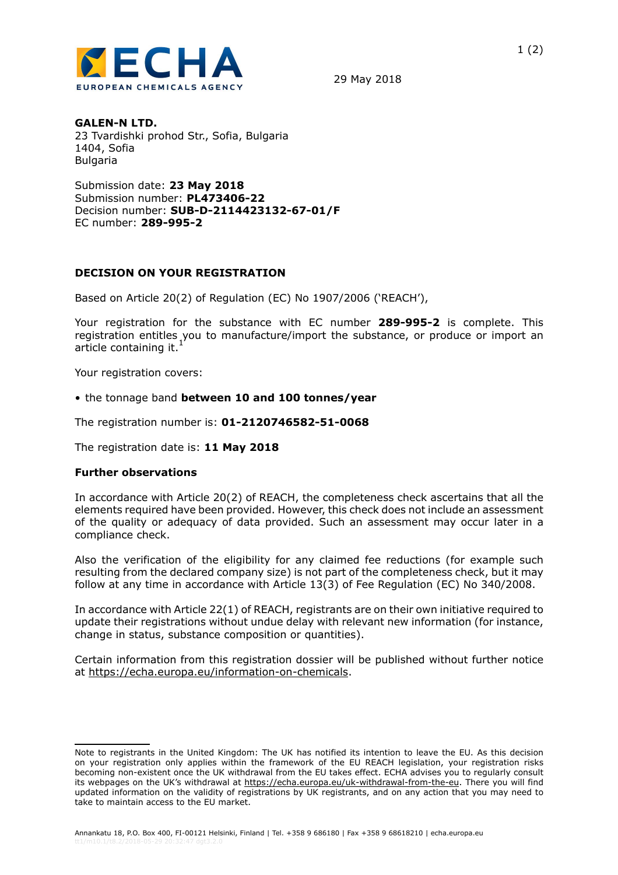

29 May 2018

## **GALEN-N LTD.**

23 Tvardishki prohod Str., Sofia, Bulgaria 1404, Sofia Bulgaria

Submission date: **23 May 2018** Submission number: **PL473406-22** Decision number: **SUB-D-2114423132-67-01/F** EC number: **289-995-2**

## **DECISION ON YOUR REGISTRATION**

Based on Article 20(2) of Regulation (EC) No 1907/2006 ('REACH'),

Your registration for the substance with EC number **289-995-2** is complete. This registration entitles you to manufacture/import the substance, or produce or import an article containing it.<sup>1</sup>

Your registration covers:

• the tonnage band **between 10 and 100 tonnes/year**

The registration number is: **01-2120746582-51-0068**

The registration date is: **11 May 2018**

## **Further observations**

In accordance with Article 20(2) of REACH, the completeness check ascertains that all the elements required have been provided. However, this check does not include an assessment of the quality or adequacy of data provided. Such an assessment may occur later in a compliance check.

Also the verification of the eligibility for any claimed fee reductions (for example such resulting from the declared company size) is not part of the completeness check, but it may follow at any time in accordance with Article 13(3) of Fee Regulation (EC) No 340/2008.

In accordance with Article 22(1) of REACH, registrants are on their own initiative required to update their registrations without undue delay with relevant new information (for instance, change in status, substance composition or quantities).

Certain information from this registration dossier will be published without further notice at<https://echa.europa.eu/information-on-chemicals>.

Note to registrants in the United Kingdom: The UK has notified its intention to leave the EU. As this decision on your registration only applies within the framework of the EU REACH legislation, your registration risks becoming non-existent once the UK withdrawal from the EU takes effect. ECHA advises you to regularly consult its webpages on the UK's withdrawal at<https://echa.europa.eu/uk-withdrawal-from-the-eu>. There you will find updated information on the validity of registrations by UK registrants, and on any action that you may need to take to maintain access to the EU market.